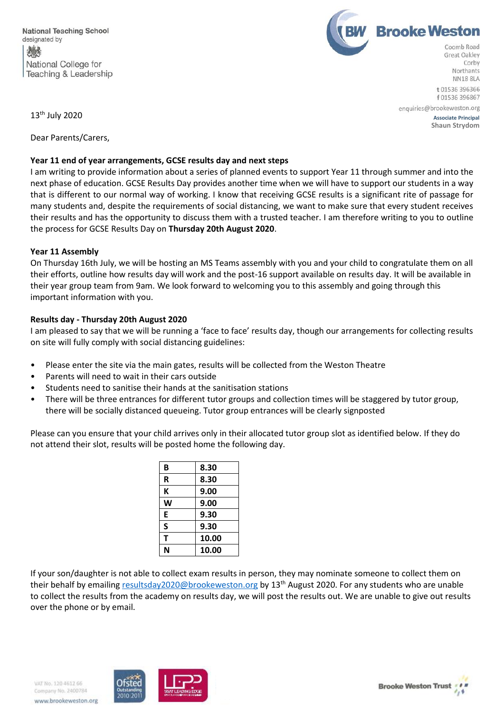



Corby Northants **NN18 8LA** t 01536 396366 f 01536 396867

13<sup>th</sup> July 2020 Associate Principal

**Shaun Strydom**

 $13<sup>th</sup>$  July 2020

Dear Parents/Carers,

## **Year 11 end of year arrangements, GCSE results day and next steps**

I am writing to provide information about a series of planned events to support Year 11 through summer and into the next phase of education. GCSE Results Day provides another time when we will have to support our students in a way that is different to our normal way of working. I know that receiving GCSE results is a significant rite of passage for many students and, despite the requirements of social distancing, we want to make sure that every student receives their results and has the opportunity to discuss them with a trusted teacher. I am therefore writing to you to outline the process for GCSE Results Day on **Thursday 20th August 2020**.

## **Year 11 Assembly**

On Thursday 16th July, we will be hosting an MS Teams assembly with you and your child to congratulate them on all their efforts, outline how results day will work and the post-16 support available on results day. It will be available in their year group team from 9am. We look forward to welcoming you to this assembly and going through this important information with you.

## **Results day - Thursday 20th August 2020**

I am pleased to say that we will be running a 'face to face' results day, though our arrangements for collecting results on site will fully comply with social distancing guidelines:

- Please enter the site via the main gates, results will be collected from the Weston Theatre
- Parents will need to wait in their cars outside
- Students need to sanitise their hands at the sanitisation stations
- There will be three entrances for different tutor groups and collection times will be staggered by tutor group, there will be socially distanced queueing. Tutor group entrances will be clearly signposted

Please can you ensure that your child arrives only in their allocated tutor group slot as identified below. If they do not attend their slot, results will be posted home the following day.

| B | 8.30  |
|---|-------|
| R | 8.30  |
| K | 9.00  |
| W | 9.00  |
| E | 9.30  |
| S | 9.30  |
| т | 10.00 |
| N | 10.00 |

If your son/daughter is not able to collect exam results in person, they may nominate someone to collect them on their behalf by emailing [resultsday2020@brookeweston.org](mailto:resultsday2020@brookeweston.org) by 13<sup>th</sup> August 2020. For any students who are unable to collect the results from the academy on results day, we will post the results out. We are unable to give out results over the phone or by email.